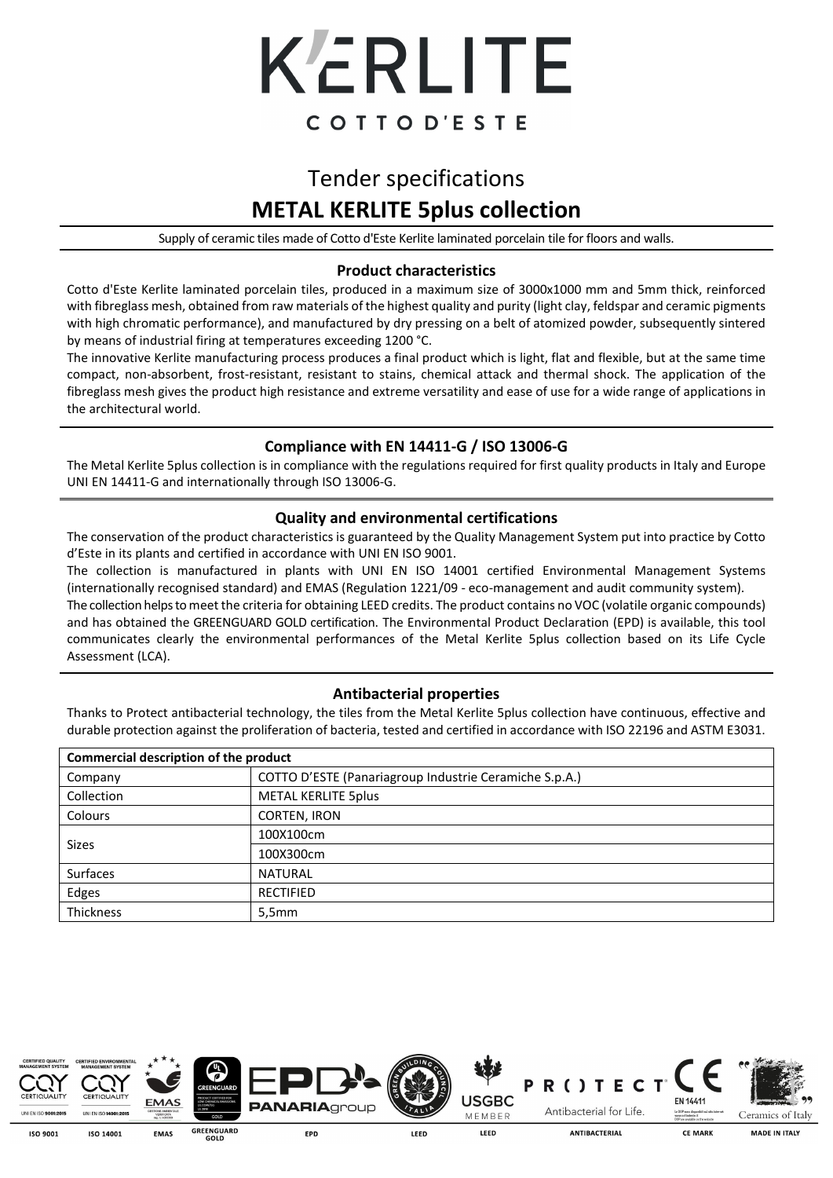

# Tender specifications **METAL KERLITE 5plus collection**

Supply of ceramic tiles made of Cotto d'Este Kerlite laminated porcelain tile for floors and walls.

### **Product characteristics**

Cotto d'Este Kerlite laminated porcelain tiles, produced in a maximum size of 3000x1000 mm and 5mm thick, reinforced with fibreglass mesh, obtained from raw materials of the highest quality and purity (light clay, feldspar and ceramic pigments with high chromatic performance), and manufactured by dry pressing on a belt of atomized powder, subsequently sintered by means of industrial firing at temperatures exceeding 1200 °C.

The innovative Kerlite manufacturing process produces a final product which is light, flat and flexible, but at the same time compact, non-absorbent, frost-resistant, resistant to stains, chemical attack and thermal shock. The application of the fibreglass mesh gives the product high resistance and extreme versatility and ease of use for a wide range of applications in the architectural world.

## **Compliance with EN 14411-G / ISO 13006-G**

The Metal Kerlite 5plus collection is in compliance with the regulations required for first quality products in Italy and Europe UNI EN 14411-G and internationally through ISO 13006-G.

#### **Quality and environmental certifications**

The conservation of the product characteristics is guaranteed by the Quality Management System put into practice by Cotto d'Este in its plants and certified in accordance with UNI EN ISO 9001.

The collection is manufactured in plants with UNI EN ISO 14001 certified Environmental Management Systems (internationally recognised standard) and EMAS (Regulation 1221/09 - eco-management and audit community system). The collection helps to meet the criteria for obtaining LEED credits. The product contains no VOC (volatile organic compounds) and has obtained the GREENGUARD GOLD certification. The Environmental Product Declaration (EPD) is available, this tool communicates clearly the environmental performances of the Metal Kerlite 5plus collection based on its Life Cycle Assessment (LCA).

### **Antibacterial properties**

Thanks to Protect antibacterial technology, the tiles from the Metal Kerlite 5plus collection have continuous, effective and durable protection against the proliferation of bacteria, tested and certified in accordance with ISO 22196 and ASTM E3031. j

| Commercial description of the product |                                                        |  |  |  |
|---------------------------------------|--------------------------------------------------------|--|--|--|
| Company                               | COTTO D'ESTE (Panariagroup Industrie Ceramiche S.p.A.) |  |  |  |
| Collection                            | <b>METAL KERLITE 5plus</b>                             |  |  |  |
| Colours                               | CORTEN, IRON                                           |  |  |  |
| <b>Sizes</b>                          | 100X100cm                                              |  |  |  |
|                                       | 100X300cm                                              |  |  |  |
| <b>Surfaces</b>                       | <b>NATURAL</b>                                         |  |  |  |
| Edges                                 | <b>RECTIFIED</b>                                       |  |  |  |
| Thickness                             | 5,5mm                                                  |  |  |  |